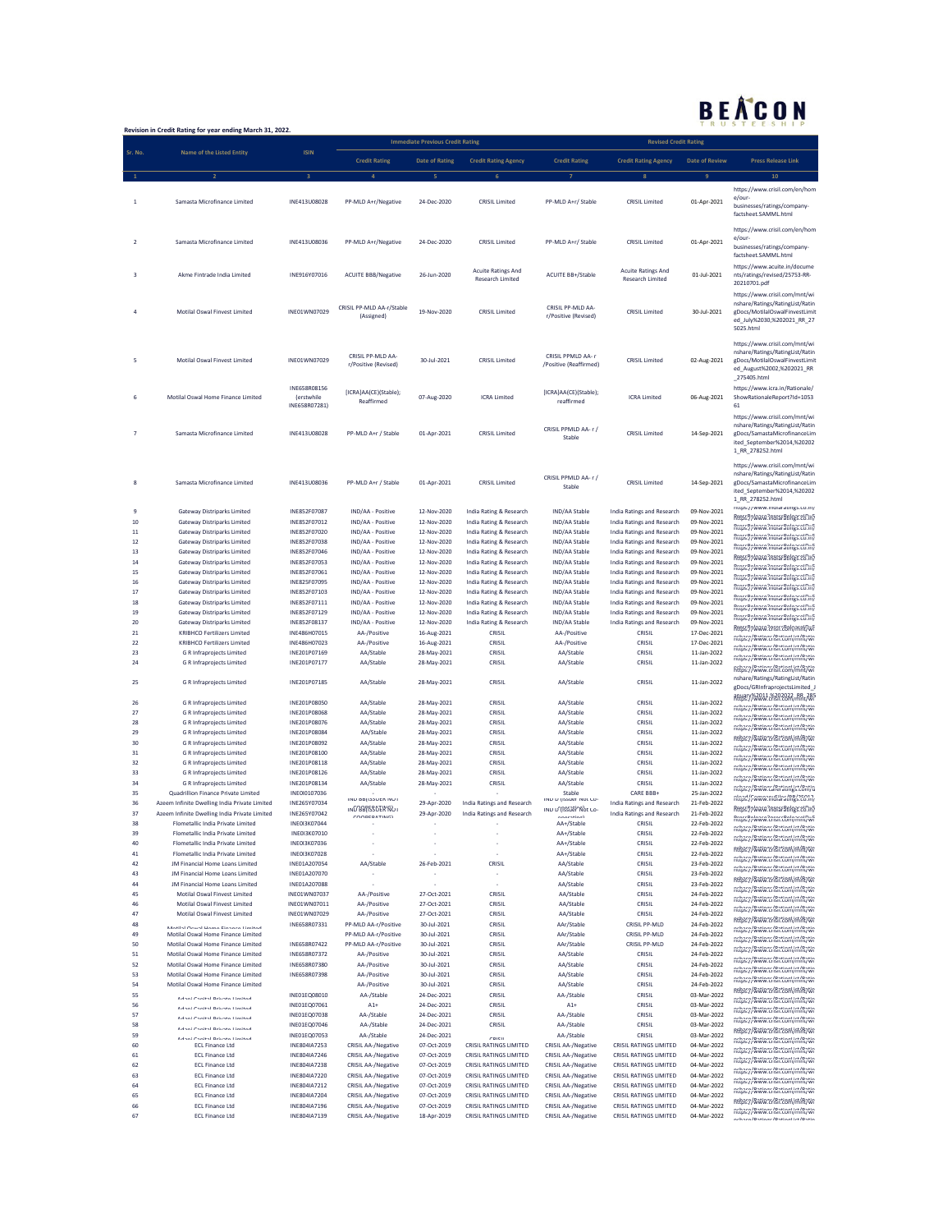## BEACON

| U<br>Revision in Credit Rating for year ending March 31, 2022. |                                                                          |                                                     |                                                          |                                         |                                                         |                                                          |                                                                 |                            |                                                                                                                                                    |  |
|----------------------------------------------------------------|--------------------------------------------------------------------------|-----------------------------------------------------|----------------------------------------------------------|-----------------------------------------|---------------------------------------------------------|----------------------------------------------------------|-----------------------------------------------------------------|----------------------------|----------------------------------------------------------------------------------------------------------------------------------------------------|--|
|                                                                |                                                                          |                                                     |                                                          | <b>Immediate Previous Credit Rating</b> |                                                         |                                                          | <b>Revised Credit Rating</b>                                    |                            |                                                                                                                                                    |  |
| Sr. No.                                                        | <b>Name of the Listed Entity</b>                                         | <b>ISIN</b>                                         | <b>Credit Rating</b>                                     | <b>Date of Rating</b>                   | <b>Credit Rating Agency</b>                             | <b>Credit Rating</b>                                     | <b>Credit Rating Agency</b>                                     | <b>Date of Review</b>      | <b>Press Release Link</b>                                                                                                                          |  |
|                                                                |                                                                          |                                                     |                                                          |                                         |                                                         |                                                          |                                                                 |                            | 10                                                                                                                                                 |  |
|                                                                |                                                                          |                                                     |                                                          |                                         |                                                         |                                                          |                                                                 |                            | https://www.crisil.com/en/hom                                                                                                                      |  |
| 1                                                              | Samasta Microfinance Limited                                             | INE413U08028                                        | PP-MLD A+r/Negative                                      | 24-Dec-2020                             | <b>CRISIL Limited</b>                                   | PP-MLD A+r/ Stable                                       | <b>CRISIL Limited</b>                                           | 01-Apr-2021                | e/our-<br>businesses/ratings/company-<br>factsheet.SAMML.html                                                                                      |  |
|                                                                |                                                                          |                                                     |                                                          |                                         |                                                         |                                                          |                                                                 |                            | https://www.crisil.com/en/hom                                                                                                                      |  |
| $\overline{2}$                                                 | Samasta Microfinance Limited                                             | INE413U08036                                        | PP-MLD A+r/Negative                                      | 24-Dec-2020                             | <b>CRISIL Limited</b>                                   | PP-MLD A+r/ Stable                                       | <b>CRISIL Limited</b>                                           | 01-Apr-2021                | e/our-<br>businesses/ratings/company-<br>factsheet.SAMML.html                                                                                      |  |
| 3                                                              | Akme Fintrade India Limited                                              | INE916Y07016                                        | <b>ACUITE BBB/Negative</b>                               | 26-Jun-2020                             | <b>Acuite Ratings And</b><br><b>Research Limited</b>    | <b>ACUITE BB+/Stable</b>                                 | <b>Acuite Ratings And</b><br><b>Research Limited</b>            | 01-Jul-2021                | https://www.acuite.in/docume<br>nts/ratings/revised/25753-RR-<br>20210701.pdf                                                                      |  |
|                                                                | Motilal Oswal Finvest Limited                                            | INE01WN07029                                        | CRISIL PP-MLD AA-r/Stable<br>(Assigned)                  | 19-Nov-2020                             | <b>CRISIL Limited</b>                                   | CRISIL PP-MLD AA-<br>r/Positive (Revised)                | <b>CRISIL Limited</b>                                           | 30-Jul-2021                | https://www.crisil.com/mnt/wi<br>nshare/Ratings/RatingList/Ratin<br>gDocs/MotilalOswalFinvestLimit<br>ed_July%2030,%202021_RR_27<br>5025.html      |  |
| 5                                                              | Motilal Oswal Finvest Limited                                            | INE01WN07029                                        | CRISIL PP-MLD AA-<br>r/Positive (Revised)                | 30-Jul-2021                             | <b>CRISIL Limited</b>                                   | CRISIL PPMLD AA-r<br>/Positive (Reaffirmed)              | <b>CRISIL Limited</b>                                           | 02-Aug-2021                | https://www.crisil.com/mnt/wi<br>nshare/Ratings/RatingList/Ratin<br>gDocs/MotilalOswalFinvestLimit<br>ed_August%2002,%202021_RR<br>_275405.html    |  |
| 6                                                              | Motilal Oswal Home Finance Limited                                       | INE658R08156<br><i>(erstwhile)</i><br>INE658R07281) | [ICRA]AA(CE)(Stable);<br>Reaffirmed                      | 07-Aug-2020                             | <b>ICRA Limited</b>                                     | [ICRA]AA(CE)(Stable);<br>reaffirmed                      | <b>ICRA Limited</b>                                             | 06-Aug-2021                | https://www.icra.in/Rationale/<br>ShowRationaleReport?Id=1053<br>61                                                                                |  |
|                                                                | Samasta Microfinance Limited                                             | INE413U08028                                        | PP-MLD A+r / Stable                                      | 01-Apr-2021                             | <b>CRISIL Limited</b>                                   | CRISIL PPMLD AA-r/<br>Stable                             | <b>CRISIL Limited</b>                                           | 14-Sep-2021                | https://www.crisil.com/mnt/wi<br>nshare/Ratings/RatingList/Ratin<br>gDocs/SamastaMicrofinanceLim<br>ited_September%2014,%20202<br>1_RR_278252.html |  |
| 8                                                              | Samasta Microfinance Limited                                             | INE413U08036                                        | PP-MLD A+r / Stable                                      | 01-Apr-2021                             | <b>CRISIL Limited</b>                                   | CRISIL PPMLD AA-r/<br>Stable                             | <b>CRISIL Limited</b>                                           | 14-Sep-2021                | https://www.crisil.com/mnt/wi<br>nshare/Ratings/RatingList/Ratin<br>gDocs/SamastaMicrofinanceLim<br>ited September%2014,%20202<br>1_RR_278252.html |  |
| 9                                                              | Gateway Distriparks Limited                                              | INE852F07087                                        | IND/AA - Positive                                        | 12-Nov-2020                             | India Rating & Research                                 | IND/AA Stable                                            | <b>India Ratings and Research</b>                               | 09-Nov-2021                | nttps://www.indiaratings.co.in/<br>Rttps://www.indiaratings.co.in/                                                                                 |  |
| 10                                                             | <b>Gateway Distriparks Limited</b>                                       | INE852F07012                                        | IND/AA - Positive                                        | 12-Nov-2020                             | India Rating & Research                                 | IND/AA Stable                                            | India Ratings and Research                                      | 09-Nov-2021                | https://www.indiaratings.co.in/                                                                                                                    |  |
| $11\,$<br>12                                                   | <b>Gateway Distriparks Limited</b>                                       | INE852F07020<br>INE852F07038                        | IND/AA - Positive                                        | 12-Nov-2020                             | India Rating & Research                                 | IND/AA Stable                                            | <b>India Ratings and Research</b>                               | 09-Nov-2021                | https://www.indiaratings.co.in/                                                                                                                    |  |
| 13                                                             | <b>Gateway Distriparks Limited</b><br><b>Gateway Distriparks Limited</b> | INE852F07046                                        | IND/AA - Positive<br>IND/AA - Positive                   | 12-Nov-2020<br>12-Nov-2020              | India Rating & Research<br>India Rating & Research      | IND/AA Stable<br>IND/AA Stable                           | India Ratings and Research<br><b>India Ratings and Research</b> | 09-Nov-2021<br>09-Nov-2021 | Rttps://www.intnaraches.co.in/                                                                                                                     |  |
| 14                                                             | <b>Gateway Distriparks Limited</b>                                       | INE852F07053                                        | IND/AA - Positive                                        | 12-Nov-2020                             | India Rating & Research                                 | IND/AA Stable                                            | India Ratings and Research                                      | 09-Nov-2021                | Rttps://www.inorarathes.com/                                                                                                                       |  |
| 15                                                             | <b>Gateway Distriparks Limited</b>                                       | INE852F07061                                        | IND/AA - Positive                                        | 12-Nov-2020                             | India Rating & Research                                 | IND/AA Stable                                            | India Ratings and Research                                      | 09-Nov-2021                | https://www.indiaratings.co.in/                                                                                                                    |  |
| 16                                                             | <b>Gateway Distriparks Limited</b>                                       | INE825F07095                                        | IND/AA - Positive                                        | 12-Nov-2020                             | India Rating & Research                                 | IND/AA Stable                                            | India Ratings and Research                                      | 09-Nov-2021                | https://www.indiaratings.co.in/<br>Rttps://www.intnarathes.co.in/                                                                                  |  |
| 17                                                             | <b>Gateway Distriparks Limited</b>                                       | INE852F07103                                        | IND/AA - Positive                                        | 12-Nov-2020                             | India Rating & Research                                 | IND/AA Stable                                            | India Ratings and Research                                      | 09-Nov-2021                | https://www.indiaratings.co.in/                                                                                                                    |  |
| 18<br>19                                                       | <b>Gateway Distriparks Limited</b>                                       | INE852F07111<br>INE852F07129                        | IND/AA - Positive                                        | 12-Nov-2020                             | India Rating & Research                                 | IND/AA Stable                                            | India Ratings and Research                                      | 09-Nov-2021                | https://www.indiaratings.co.in/                                                                                                                    |  |
| 20                                                             | <b>Gateway Distriparks Limited</b><br><b>Gateway Distriparks Limited</b> | INE852F08137                                        | IND/AA - Positive<br>IND/AA - Positive                   | 12-Nov-2020<br>12-Nov-2020              | India Rating & Research<br>India Rating & Research      | IND/AA Stable<br>IND/AA Stable                           | India Ratings and Research<br><b>India Ratings and Research</b> | 09-Nov-2021<br>09-Nov-2021 | Rttps://www.intnarathes.co.in/                                                                                                                     |  |
| $21\,$                                                         | <b>KRIBHCO Fertilizers Limited</b>                                       | INE486H07015                                        | AA-/Positive                                             | 16-Aug-2021                             | CRISIL                                                  | AA-/Positive                                             | CRISIL                                                          | 17-Dec-2021                | Rttps://www.crisir.com/mnt/wi                                                                                                                      |  |
| 22                                                             | <b>KRIBHCO Fertilizers Limited</b>                                       | INE486H07023                                        | AA-/Positive                                             | 16-Aug-2021                             | CRISIL                                                  | AA-/Positive                                             | CRISIL                                                          | 17-Dec-2021                | ntips://www.crisn.com/mnt/wr<br>nttps://www.crisii.com/mnt/wi                                                                                      |  |
| 23                                                             | <b>G R Infraprojects Limited</b>                                         | INE201P07169                                        | AA/Stable                                                | 28-May-2021                             | CRISIL                                                  | AA/Stable                                                | CRISIL                                                          | 11-Jan-2022                | nthps://www.crisn.com/mnt/wi                                                                                                                       |  |
| 24<br>25                                                       | <b>GR Infraprojects Limited</b><br><b>GR Infraprojects Limited</b>       | INE201P07177<br>INE201P07185                        | AA/Stable<br>AA/Stable                                   | 28-May-2021<br>28-May-2021              | CRISIL<br>CRISIL                                        | AA/Stable<br>AA/Stable                                   | CRISIL<br>CRISIL                                                | 11-Jan-2022<br>11-Jan-2022 | nthans (Dations (Dation) in (Datio<br>https://www.crisil.com/mnt/wi<br>nshare/Ratings/RatingList/Ratin                                             |  |
| 26                                                             | <b>GR Infraprojects Limited</b>                                          | INE201P08050                                        | AA/Stable                                                | 28-May-2021                             | CRISIL                                                  | AA/Stable                                                | CRISIL                                                          | 11-Jan-2022                | gDocs/GRInfraprojectsLimited_J<br>anuary%2011 %202022 RR 285<br>https://www.crisii.com/mnt/wi<br>ntips://www.crisn.com/mift/wr                     |  |
| 27                                                             | <b>GRI</b> Infraprojects Limited                                         | INE201P08068                                        | AA/Stable                                                | 28-May-2021                             | CRISIL                                                  | AA/Stable                                                | CRISIL                                                          | 11-Jan-2022                | ntips://www.crisii.com/mnt/wi                                                                                                                      |  |
| 28<br>29                                                       | <b>GR Infraprojects Limited</b><br><b>GR Infraprojects Limited</b>       | INE201P08076<br>INE201P08084                        | AA/Stable<br>AA/Stable                                   | 28-May-2021<br>28-May-2021              | CRISIL<br>CRISIL                                        | AA/Stable<br>AA/Stable                                   | CRISIL<br>CRISIL                                                | 11-Jan-2022<br>11-Jan-2022 | nttps://www.crisii.com/mnt/wi                                                                                                                      |  |
| 30                                                             | <b>G R Infraprojects Limited</b>                                         | INE201P08092                                        | AA/Stable                                                | 28-May-2021                             | CRISIL                                                  | AA/Stable                                                | CRISIL                                                          | 11-Jan-2022                | ntbs://www.crisn.com/mfb7wn                                                                                                                        |  |
| 31                                                             | <b>GR Infraprojects Limited</b>                                          | INE201P08100                                        | AA/Stable                                                | 28-May-2021                             | CRISIL                                                  | AA/Stable                                                | CRISIL                                                          | 11-Jan-2022                | ntips://www.crisii.com/mnt/wi                                                                                                                      |  |
| 32                                                             | <b>GR Infraprojects Limited</b>                                          | INE201P08118                                        | AA/Stable                                                | 28-May-2021                             | CRISIL                                                  | AA/Stable                                                | CRISIL                                                          | 11-Jan-2022                | nttps://www.crisii.com/mnt/wi<br>ntbs://www.crisn.com/mfb7wn                                                                                       |  |
| 33                                                             | <b>GR Infraprojects Limited</b>                                          | INE201P08126<br>INE201P08134                        | AA/Stable                                                | 28-May-2021                             | CRISIL                                                  | AA/Stable                                                | CRISIL                                                          | 11-Jan-2022                | ntips://Www.crisn.com/mift/wr                                                                                                                      |  |
| 34<br>35                                                       | <b>GR Infraprojects Limited</b><br>Quadrillion Finance Private Limited   | INE0I0107036                                        | AA/Stable                                                | 28-May-2021                             | CRISIL                                                  | AA/Stable<br>Stable                                      | CRISIL<br>CARE BBB+                                             | 11-Jan-2022<br>25-Jan-2022 | ntips://www.careratings.com/u                                                                                                                      |  |
| 36                                                             | Azeem Infinite Dwelling India Private Limited                            | INE265Y07034                                        | IND BB(ISSUER NOT                                        | 29-Apr-2020                             | India Ratings and Research                              | IND D (ISSUEF NOT LO-                                    | India Ratings and Research                                      | 21-Feb-2022                | nttps://www.indiaratings.co.in/                                                                                                                    |  |
| 37                                                             | Azeem Infinite Dwelling India Private Limited                            | INE265Y07042                                        | IND BBISSUER NUI<br>COORDATING                           | 29-Apr-2020                             | India Ratings and Research                              | UND D'USSUEF NOT LO-                                     | India Ratings and Research                                      | 21-Feb-2022                | Rttps://www.intnarathes.com/<br>https://www.crisii.com/mnt/w                                                                                       |  |
| 38                                                             | Flometallic India Private Limited                                        | INE013K07044                                        |                                                          |                                         |                                                         | AA+/Stable                                               | CRISIL                                                          | 22-Feb-2022                | nttps://www.crisii.com/mnt/wi                                                                                                                      |  |
| 39<br>40                                                       | Flometallic India Private Limited<br>Flometallic India Private Limited   | INE0I3K07010<br>INE013K07036                        |                                                          |                                         |                                                         | AA+/Stable<br>AA+/Stable                                 | CRISIL<br>CRISIL                                                | 22-Feb-2022<br>22-Feb-2022 | nthps://www.crisn.com/mnt/wi                                                                                                                       |  |
| 41                                                             | Flometallic India Private Limited                                        | INE013K07028                                        |                                                          |                                         |                                                         | AA+/Stable                                               | CRISIL                                                          | 22-Feb-2022                | nthps://www.crisii.com/mnt/wi                                                                                                                      |  |
| 42                                                             | IM Financial Home Loans Limited                                          | INE01A207054                                        | AA/Stable                                                | 26-Feb-2021                             | CRISIL                                                  | AA/Stable                                                | CRISIL                                                          | 23-Feb-2022                | nttps://www.crisii.com/mnt/wi                                                                                                                      |  |
| 43                                                             | JM Financial Home Loans Limited                                          | INE01A207070                                        |                                                          |                                         | ×,                                                      | AA/Stable                                                | CRISIL                                                          | 23-Feb-2022                | nttps://www.crisii.com/mnt/wi<br>ntbs://www.crisn.com/mnt/wi                                                                                       |  |
| 44                                                             | JM Financial Home Loans Limited                                          | INE01A207088                                        |                                                          |                                         |                                                         | AA/Stable                                                | CRISIL                                                          | 23-Feb-2022                | ntips://www.crisn.com/mnt/wr                                                                                                                       |  |
| 45<br>46                                                       | Motilal Oswal Finvest Limited<br>Motilal Oswal Finvest Limited           | INE01WN07037<br>INE01WN07011                        | AA-/Positive<br>AA-/Positive                             | 27-Oct-2021<br>27-Oct-2021              | CRISIL<br>CRISIL                                        | AA/Stable<br>AA/Stable                                   | CRISIL<br>CRISIL                                                | 24-Feb-2022<br>24-Feb-2022 | ntips://www.crisn.com/mnt/wr                                                                                                                       |  |
| 47                                                             | Motilal Oswal Finvest Limited                                            | INE01WN07029                                        | AA-/Positive                                             | 27-Oct-2021                             | CRISIL                                                  | AA/Stable                                                | CRISIL                                                          | 24-Feb-2022                | nthps://www.crisn.com/mnt/wi                                                                                                                       |  |
| 48                                                             | <b>Kenathal Control House Classica Hostend</b>                           | INE658R07331                                        | PP-MLD AA-r/Positive                                     | 30-Jul-2021                             | CRISIL                                                  | AAr/Stable                                               | <b>CRISIL PP-MLD</b>                                            | 24-Feb-2022                | nthps://www.crisin.com/milit/wi                                                                                                                    |  |
| 49                                                             | Motilal Oswal Home Finance Limited                                       |                                                     | PP-MLD AA-r/Positive                                     | 30-Jul-2021                             | CRISIL                                                  | AAr/Stable                                               | <b>CRISIL PP-MLD</b>                                            | 24-Feb-2022                | nttps://www.crisii.com/mnt/wi<br>ntips://www.crisii.com/mnt/wi                                                                                     |  |
| 50                                                             | Motilal Oswal Home Finance Limited                                       | INE658R07422                                        | PP-MLD AA-r/Positive                                     | 30-Jul-2021                             | CRISIL                                                  | AAr/Stable                                               | <b>CRISIL PP-MLD</b>                                            | 24-Feb-2022                | nthps://www.crisn.com/mnt/wi                                                                                                                       |  |
| 51<br>52                                                       | Motilal Oswal Home Finance Limited<br>Motilal Oswal Home Finance Limited | INE658R07372<br>INE658R07380                        | AA-/Positive<br>AA-/Positive                             | 30-Jul-2021<br>30-Jul-2021              | CRISIL<br>CRISIL                                        | AA/Stable<br>AA/Stable                                   | CRISIL<br>CRISIL                                                | 24-Feb-2022<br>24-Feb-2022 | nttps://www.crisii.com/mnt/wi                                                                                                                      |  |
| 53                                                             | Motilal Oswal Home Finance Limited                                       | INE658R07398                                        | AA-/Positive                                             | 30-Jul-2021                             | CRISIL                                                  | AA/Stable                                                | CRISIL                                                          | 24-Feb-2022                | nttps://www.crisii.com/mnt/wi                                                                                                                      |  |
| 54                                                             | Motilal Oswal Home Finance Limited                                       |                                                     | AA-/Positive                                             | 30-Jul-2021                             | CRISIL                                                  | AA/Stable                                                | CRISIL                                                          | 24-Feb-2022                | nthps://www.crisn.com/mnt/wn<br>ntbs://www.erlsn.com/mhywr                                                                                         |  |
| 55                                                             | Adami Canital Develop Haritand                                           | INE01EQ08010                                        | AA-/Stable                                               | 24-Dec-2021                             | CRISIL                                                  | AA-/Stable                                               | CRISIL                                                          | 03-Mar-2022                | ntips://www.crisii.com/mnt/wi                                                                                                                      |  |
| 56                                                             | .<br>Adami Paulaul Bahman Hantand                                        | INE01EQ07061                                        | $A1+$                                                    | 24-Dec-2021                             | CRISIL                                                  | $A1+$                                                    | CRISIL                                                          | 03-Mar-2022                | nttps://www.crisii.com/mnt/wi                                                                                                                      |  |
| 57<br>58                                                       | Adani Canital Briusto Limitod                                            | INE01EQ07038<br><b>INE01EQ07046</b>                 | AA-/Stable<br>AA-/Stable                                 | 24-Dec-2021<br>24-Dec-2021              | CRISIL<br>CRISIL                                        | AA-/Stable<br>AA-/Stable                                 | CRISIL<br>CRISIL                                                | 03-Mar-2022<br>03-Mar-2022 | ntbs://www.crisn.com/mhy/wi                                                                                                                        |  |
| 59                                                             | Adami Pantani Batragan (Santanu)<br>.<br>Adami Camikal Buluaka I imikad  | INE01EQ07053                                        | AA-/Stable                                               | 24-Dec-2021                             | color                                                   | AA-/Stable                                               | CRISIL                                                          | 03-Mar-2022                | ntips://Www.crisn.com/mift/wr                                                                                                                      |  |
| 60                                                             | <b>ECL Finance Ltd</b>                                                   | INE804IA7253                                        | <b>CRISIL AA-/Negative</b>                               | 07-Oct-2019                             | CRISIL RATINGS LIMITED                                  | <b>CRISIL AA-/Negative</b>                               | CRISIL RATINGS LIMITED                                          | 04-Mar-2022                | nttps://www.crisii.com/mnt/wi                                                                                                                      |  |
| 61                                                             | <b>ECL Finance Ltd</b>                                                   | INE804IA7246                                        | <b>CRISIL AA-/Negative</b>                               | 07-Oct-2019                             | <b>CRISIL RATINGS LIMITED</b>                           | <b>CRISIL AA-/Negative</b>                               | CRISIL RATINGS LIMITED                                          | 04-Mar-2022                | nttps://www.crisn.com/mntywr<br>ntbs://www.erisn.com/mnywr                                                                                         |  |
| 62                                                             | <b>ECL Finance Ltd</b>                                                   | INE804IA7238                                        | <b>CRISIL AA-/Negative</b>                               | 07-Oct-2019                             | <b>CRISIL RATINGS LIMITED</b>                           | <b>CRISIL AA-/Negative</b>                               | CRISIL RATINGS LIMITED                                          | 04-Mar-2022                | nttps://www.crisii.com/mnt/wi                                                                                                                      |  |
| 63<br>64                                                       | <b>ECL Finance Ltd</b><br><b>ECL Finance Ltd</b>                         | INE804IA7220<br>INE804IA7212                        | <b>CRISIL AA-/Negative</b><br><b>CRISIL AA-/Negative</b> | 07-Oct-2019<br>07-Oct-2019              | CRISIL RATINGS LIMITED<br><b>CRISIL RATINGS LIMITED</b> | <b>CRISIL AA-/Negative</b><br><b>CRISIL AA-/Negative</b> | CRISIL RATINGS LIMITED<br>CRISIL RATINGS LIMITED                | 04-Mar-2022<br>04-Mar-2022 | ntips://www.crisn.com/mnt/wr                                                                                                                       |  |
| 65                                                             | <b>ECL Finance Ltd</b>                                                   | INE804IA7204                                        | <b>CRISIL AA-/Negative</b>                               | 07-Oct-2019                             | <b>CRISIL RATINGS LIMITED</b>                           | <b>CRISIL AA-/Negative</b>                               | CRISIL RATINGS LIMITED                                          | 04-Mar-2022                | ntbs://www.crisn.com/mnt/wi                                                                                                                        |  |
| 66                                                             | <b>ECL Finance Ltd</b>                                                   | INE804IA7196                                        | <b>CRISIL AA-/Negative</b>                               | 07-Oct-2019                             | CRISIL RATINGS LIMITED                                  | <b>CRISIL AA-/Negative</b>                               | CRISIL RATINGS LIMITED                                          | 04-Mar-2022                | nthose/Dations/DationLint/Datio                                                                                                                    |  |
| 67                                                             | <b>ECL Finance Ltd</b>                                                   | INE804IA7139                                        | <b>CRISIL AA-/Negative</b>                               | 18-Apr-2019                             | CRISIL RATINGS LIMITED                                  | <b>CRISIL AA-/Negative</b>                               | CRISIL RATINGS LIMITED                                          | 04-Mar-2022                | nttps://www.crisn.com/mnt/wr<br>$=$ $In$                                                                                                           |  |